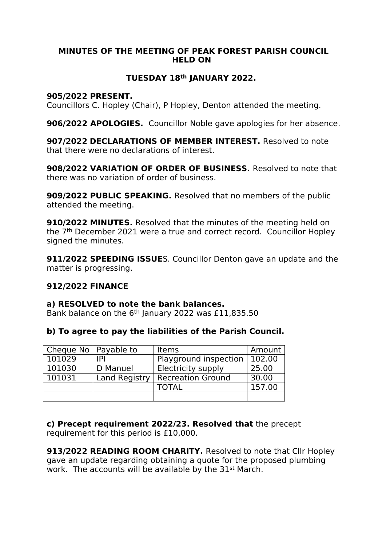#### **MINUTES OF THE MEETING OF PEAK FOREST PARISH COUNCIL HELD ON**

# **TUESDAY 18th JANUARY 2022.**

### **905/2022 PRESENT.**

Councillors C. Hopley (Chair), P Hopley, Denton attended the meeting.

**906/2022 APOLOGIES.** Councillor Noble gave apologies for her absence.

**907/2022 DECLARATIONS OF MEMBER INTEREST.** Resolved to note that there were no declarations of interest.

**908/2022 VARIATION OF ORDER OF BUSINESS.** Resolved to note that there was no variation of order of business.

**909/2022 PUBLIC SPEAKING.** Resolved that no members of the public attended the meeting.

**910/2022 MINUTES.** Resolved that the minutes of the meeting held on the 7th December 2021 were a true and correct record. Councillor Hopley signed the minutes.

**911/2022 SPEEDING ISSUE**S. Councillor Denton gave an update and the matter is progressing.

### **912/2022 FINANCE**

### **a) RESOLVED to note the bank balances.**

Bank balance on the 6<sup>th</sup> January 2022 was £11,835.50

### **b) To agree to pay the liabilities of the Parish Council.**

| Cheque No $\vert$ Payable to |               | Items                                | Amount |
|------------------------------|---------------|--------------------------------------|--------|
| 101029                       | IPI           | Playground inspection $\vert$ 102.00 |        |
| 101030                       | D Manuel      | Electricity supply                   | 25.00  |
| 101031                       | Land Registry | Recreation Ground                    | 30.00  |
|                              |               | <b>TOTAL</b>                         | 157.00 |
|                              |               |                                      |        |

**c) Precept requirement 2022/23. Resolved that** the precept requirement for this period is £10,000.

**913/2022 READING ROOM CHARITY.** Resolved to note that Cllr Hopley gave an update regarding obtaining a quote for the proposed plumbing work. The accounts will be available by the 31<sup>st</sup> March.